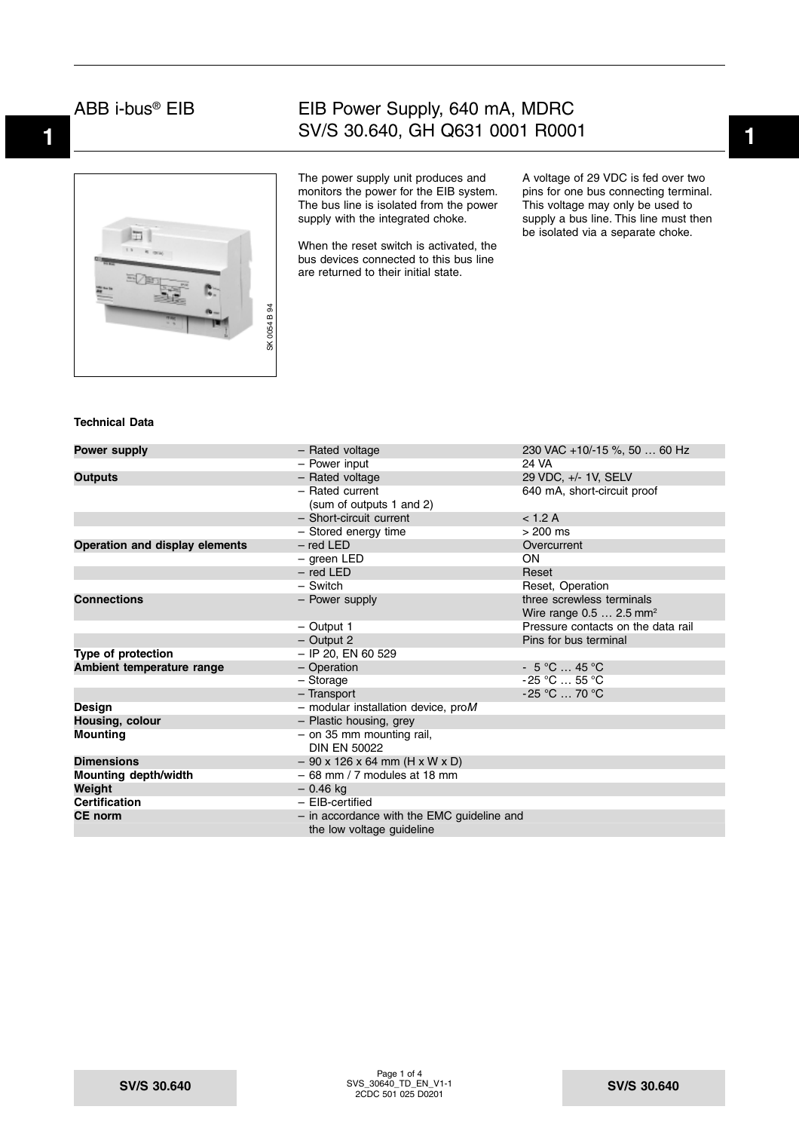

## **1 1** SV/S 30.640, GH Q631 0001 R0001 EIB Power Supply, 640 mA, MDRC

The power supply unit produces and monitors the power for the EIB system. The bus line is isolated from the power supply with the integrated choke.

When the reset switch is activated, the bus devices connected to this bus line are returned to their initial state.

A voltage of 29 VDC is fed over two pins for one bus connecting terminal. This voltage may only be used to supply a bus line. This line must then be isolated via a separate choke.

#### **Technical Data**

| <b>Power supply</b>            | - Rated voltage                              | 230 VAC +10/-15 %, 50  60 Hz        |
|--------------------------------|----------------------------------------------|-------------------------------------|
|                                | - Power input                                | 24 VA                               |
| <b>Outputs</b>                 | - Rated voltage                              | 29 VDC, +/- 1V, SELV                |
|                                | - Rated current                              | 640 mA, short-circuit proof         |
|                                | (sum of outputs 1 and 2)                     |                                     |
|                                | - Short-circuit current                      | < 1.2 A                             |
|                                | - Stored energy time                         | $>200$ ms                           |
| Operation and display elements | $-$ red LED                                  | Overcurrent                         |
|                                | $-$ green LED                                | ON                                  |
|                                | $-$ red LED                                  | Reset                               |
|                                | - Switch                                     | Reset, Operation                    |
| <b>Connections</b>             | - Power supply                               | three screwless terminals           |
|                                |                                              | Wire range $0.52.5$ mm <sup>2</sup> |
|                                | $-$ Output 1                                 | Pressure contacts on the data rail  |
|                                | $-$ Output 2                                 | Pins for bus terminal               |
| Type of protection             | $-$ IP 20, EN 60 529                         |                                     |
| Ambient temperature range      | - Operation                                  | $-5^{\circ}$ C  45 °C               |
|                                | - Storage                                    | $-25$ °C  55 °C                     |
|                                | - Transport                                  | $-25$ °C $\ldots$ 70 °C             |
| Design                         | - modular installation device, $\text{prox}$ |                                     |
| Housing, colour                | - Plastic housing, grey                      |                                     |
| Mounting                       | $-$ on 35 mm mounting rail,                  |                                     |
|                                | <b>DIN EN 50022</b>                          |                                     |
| <b>Dimensions</b>              | $-90$ x 126 x 64 mm (H x W x D)              |                                     |
| <b>Mounting depth/width</b>    | $-68$ mm / 7 modules at 18 mm                |                                     |
| Weight                         | $-0.46$ kg                                   |                                     |
| Certification                  | - EIB-certified                              |                                     |
| CE norm                        | - in accordance with the EMC guideline and   |                                     |
|                                | the low voltage guideline                    |                                     |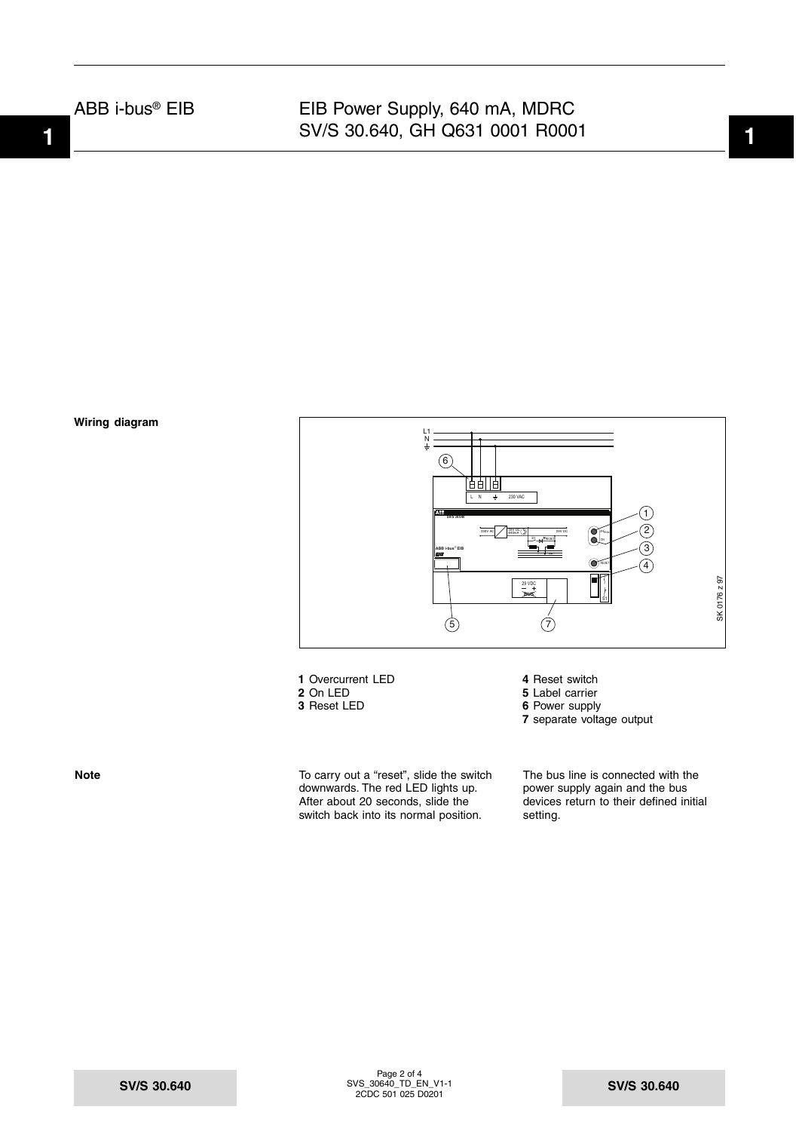# **1 1** SV/S 30.640, GH Q631 0001 R0001 EIB Power Supply, 640 mA, MDRC



- **1** Overcurrent LED **4** Reset switch<br> **2** On LED **5** Label carrier
- 
- 

**Note** To carry out a "reset", slide the switch downwards. The red LED lights up. After about 20 seconds, slide the switch back into its normal position.

- **2** On LED **5** Label carrier<br>**3** Reset LED **6** Power supply
	- **6** Power supply
	- **7** separate voltage output

The bus line is connected with the power supply again and the bus devices return to their defined initial setting.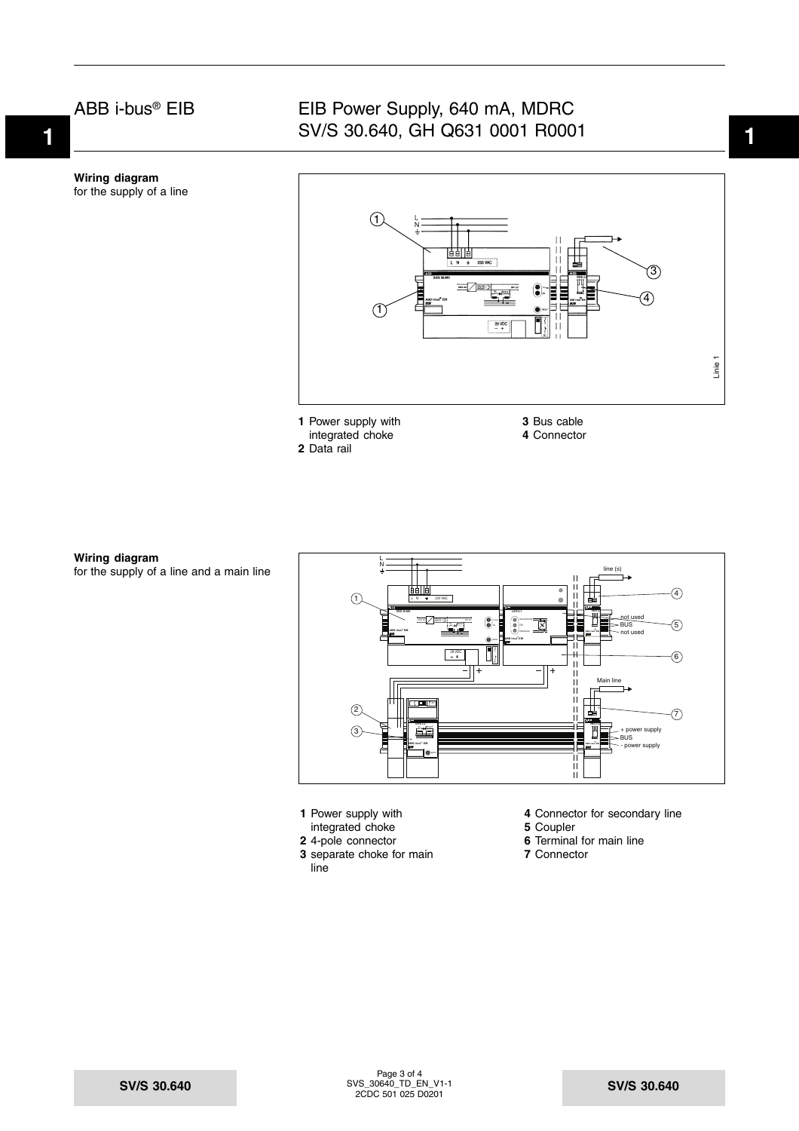**Wiring diagram** for the supply of a line

# **1 1** SV/S 30.640, GH Q631 0001 R0001 EIB Power Supply, 640 mA, MDRC



integrated choke **2** Data rail

**Wiring diagram** for the supply of a line and a main line



- 
- integrated choke<br>**2** 4-pole connector
- 
- **3** separate choke for main **7** Connector line
- **1** Power supply with **4** Connector for secondary line integrated choke **5** Coupler
	-
	- **6** Terminal for main line
	-